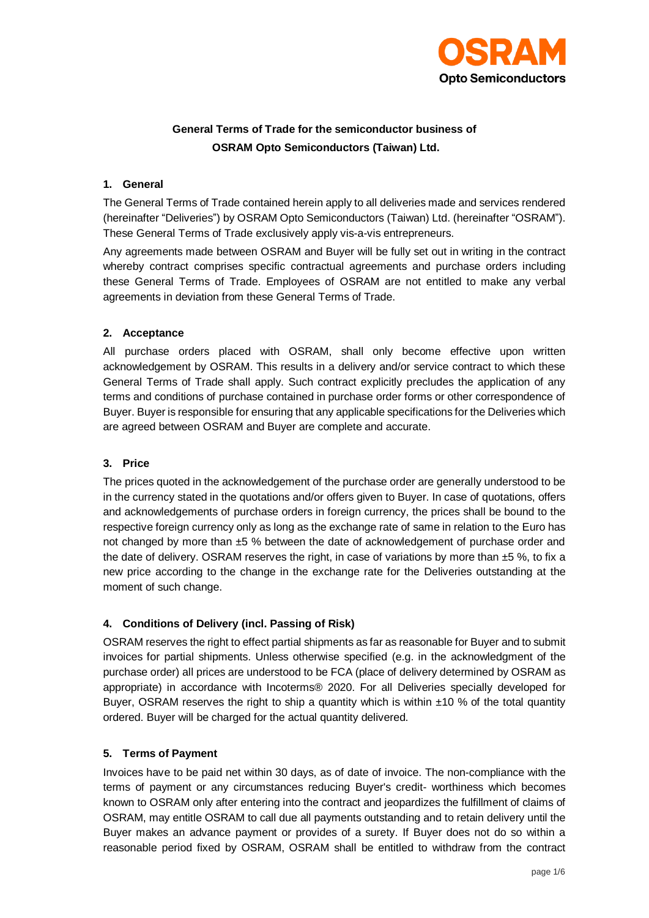

# **General Terms of Trade for the semiconductor business of OSRAM Opto Semiconductors (Taiwan) Ltd.**

#### **1. General**

The General Terms of Trade contained herein apply to all deliveries made and services rendered (hereinafter "Deliveries") by OSRAM Opto Semiconductors (Taiwan) Ltd. (hereinafter "OSRAM"). These General Terms of Trade exclusively apply vis-a-vis entrepreneurs.

Any agreements made between OSRAM and Buyer will be fully set out in writing in the contract whereby contract comprises specific contractual agreements and purchase orders including these General Terms of Trade. Employees of OSRAM are not entitled to make any verbal agreements in deviation from these General Terms of Trade.

## **2. Acceptance**

All purchase orders placed with OSRAM, shall only become effective upon written acknowledgement by OSRAM. This results in a delivery and/or service contract to which these General Terms of Trade shall apply. Such contract explicitly precludes the application of any terms and conditions of purchase contained in purchase order forms or other correspondence of Buyer. Buyer is responsible for ensuring that any applicable specifications for the Deliveries which are agreed between OSRAM and Buyer are complete and accurate.

# **3. Price**

The prices quoted in the acknowledgement of the purchase order are generally understood to be in the currency stated in the quotations and/or offers given to Buyer. In case of quotations, offers and acknowledgements of purchase orders in foreign currency, the prices shall be bound to the respective foreign currency only as long as the exchange rate of same in relation to the Euro has not changed by more than ±5 % between the date of acknowledgement of purchase order and the date of delivery. OSRAM reserves the right, in case of variations by more than  $\pm 5$  %, to fix a new price according to the change in the exchange rate for the Deliveries outstanding at the moment of such change.

# **4. Conditions of Delivery (incl. Passing of Risk)**

OSRAM reserves the right to effect partial shipments as far as reasonable for Buyer and to submit invoices for partial shipments. Unless otherwise specified (e.g. in the acknowledgment of the purchase order) all prices are understood to be FCA (place of delivery determined by OSRAM as appropriate) in accordance with Incoterms® 2020. For all Deliveries specially developed for Buyer, OSRAM reserves the right to ship a quantity which is within  $±10\%$  of the total quantity ordered. Buyer will be charged for the actual quantity delivered.

#### **5. Terms of Payment**

Invoices have to be paid net within 30 days, as of date of invoice. The non-compliance with the terms of payment or any circumstances reducing Buyer's credit- worthiness which becomes known to OSRAM only after entering into the contract and jeopardizes the fulfillment of claims of OSRAM, may entitle OSRAM to call due all payments outstanding and to retain delivery until the Buyer makes an advance payment or provides of a surety. If Buyer does not do so within a reasonable period fixed by OSRAM, OSRAM shall be entitled to withdraw from the contract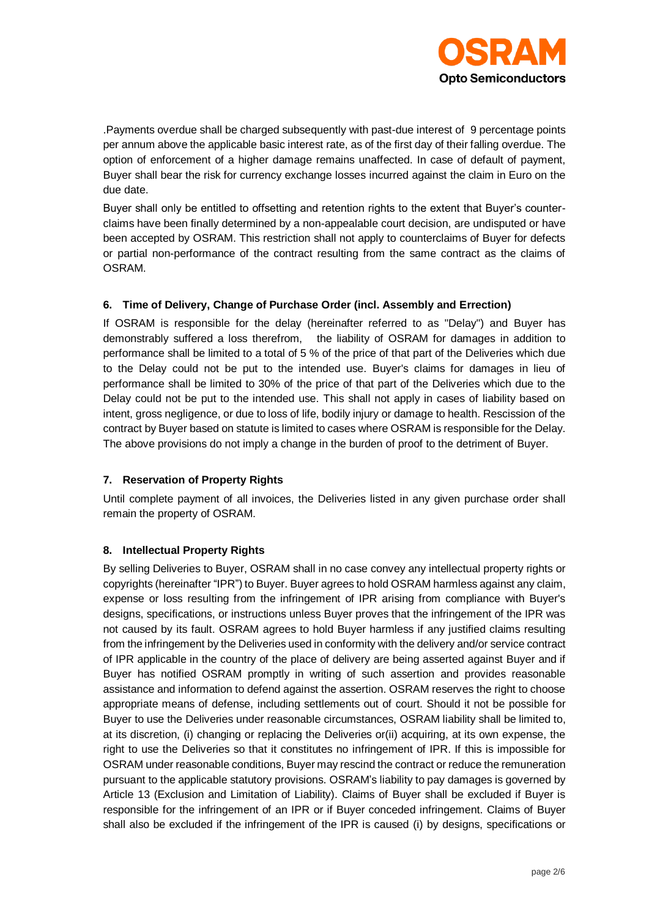

.Payments overdue shall be charged subsequently with past-due interest of 9 percentage points per annum above the applicable basic interest rate, as of the first day of their falling overdue. The option of enforcement of a higher damage remains unaffected. In case of default of payment, Buyer shall bear the risk for currency exchange losses incurred against the claim in Euro on the due date.

Buyer shall only be entitled to offsetting and retention rights to the extent that Buyer's counterclaims have been finally determined by a non-appealable court decision, are undisputed or have been accepted by OSRAM. This restriction shall not apply to counterclaims of Buyer for defects or partial non-performance of the contract resulting from the same contract as the claims of OSRAM.

## **6. Time of Delivery, Change of Purchase Order (incl. Assembly and Errection)**

If OSRAM is responsible for the delay (hereinafter referred to as "Delay") and Buyer has demonstrably suffered a loss therefrom, the liability of OSRAM for damages in addition to performance shall be limited to a total of 5 % of the price of that part of the Deliveries which due to the Delay could not be put to the intended use. Buyer's claims for damages in lieu of performance shall be limited to 30% of the price of that part of the Deliveries which due to the Delay could not be put to the intended use. This shall not apply in cases of liability based on intent, gross negligence, or due to loss of life, bodily injury or damage to health. Rescission of the contract by Buyer based on statute is limited to cases where OSRAM is responsible for the Delay. The above provisions do not imply a change in the burden of proof to the detriment of Buyer.

#### **7. Reservation of Property Rights**

Until complete payment of all invoices, the Deliveries listed in any given purchase order shall remain the property of OSRAM.

#### **8. Intellectual Property Rights**

By selling Deliveries to Buyer, OSRAM shall in no case convey any intellectual property rights or copyrights (hereinafter "IPR") to Buyer. Buyer agrees to hold OSRAM harmless against any claim, expense or loss resulting from the infringement of IPR arising from compliance with Buyer's designs, specifications, or instructions unless Buyer proves that the infringement of the IPR was not caused by its fault. OSRAM agrees to hold Buyer harmless if any justified claims resulting from the infringement by the Deliveries used in conformity with the delivery and/or service contract of IPR applicable in the country of the place of delivery are being asserted against Buyer and if Buyer has notified OSRAM promptly in writing of such assertion and provides reasonable assistance and information to defend against the assertion. OSRAM reserves the right to choose appropriate means of defense, including settlements out of court. Should it not be possible for Buyer to use the Deliveries under reasonable circumstances, OSRAM liability shall be limited to, at its discretion, (i) changing or replacing the Deliveries or(ii) acquiring, at its own expense, the right to use the Deliveries so that it constitutes no infringement of IPR. If this is impossible for OSRAM under reasonable conditions, Buyer may rescind the contract or reduce the remuneration pursuant to the applicable statutory provisions. OSRAM's liability to pay damages is governed by Article 13 (Exclusion and Limitation of Liability). Claims of Buyer shall be excluded if Buyer is responsible for the infringement of an IPR or if Buyer conceded infringement. Claims of Buyer shall also be excluded if the infringement of the IPR is caused (i) by designs, specifications or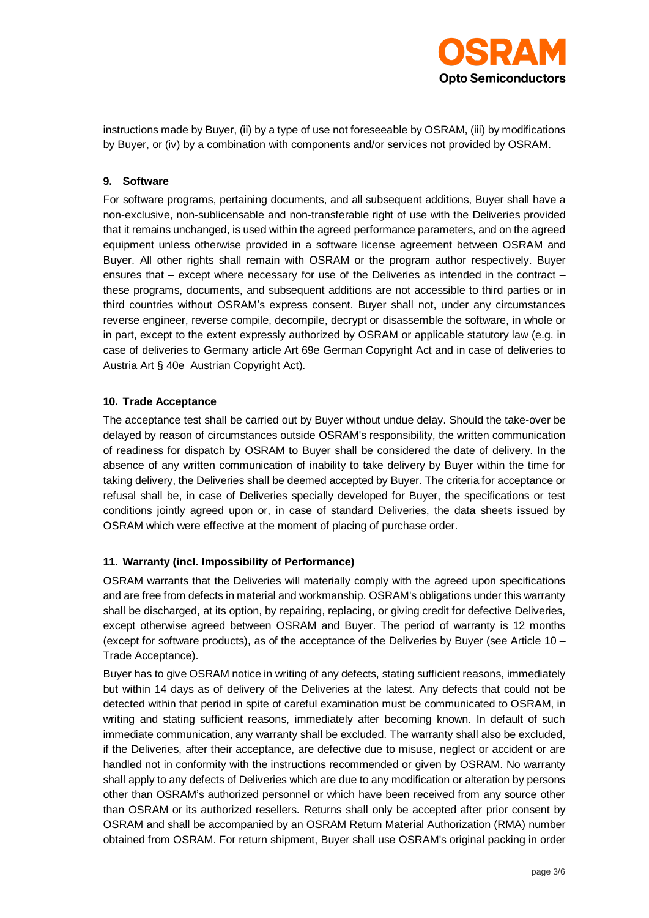

instructions made by Buyer, (ii) by a type of use not foreseeable by OSRAM, (iii) by modifications by Buyer, or (iv) by a combination with components and/or services not provided by OSRAM.

#### **9. Software**

For software programs, pertaining documents, and all subsequent additions, Buyer shall have a non-exclusive, non-sublicensable and non-transferable right of use with the Deliveries provided that it remains unchanged, is used within the agreed performance parameters, and on the agreed equipment unless otherwise provided in a software license agreement between OSRAM and Buyer. All other rights shall remain with OSRAM or the program author respectively. Buyer ensures that – except where necessary for use of the Deliveries as intended in the contract – these programs, documents, and subsequent additions are not accessible to third parties or in third countries without OSRAM's express consent. Buyer shall not, under any circumstances reverse engineer, reverse compile, decompile, decrypt or disassemble the software, in whole or in part, except to the extent expressly authorized by OSRAM or applicable statutory law (e.g. in case of deliveries to Germany article Art 69e German Copyright Act and in case of deliveries to Austria Art § 40e Austrian Copyright Act).

#### **10. Trade Acceptance**

The acceptance test shall be carried out by Buyer without undue delay. Should the take-over be delayed by reason of circumstances outside OSRAM's responsibility, the written communication of readiness for dispatch by OSRAM to Buyer shall be considered the date of delivery. In the absence of any written communication of inability to take delivery by Buyer within the time for taking delivery, the Deliveries shall be deemed accepted by Buyer. The criteria for acceptance or refusal shall be, in case of Deliveries specially developed for Buyer, the specifications or test conditions jointly agreed upon or, in case of standard Deliveries, the data sheets issued by OSRAM which were effective at the moment of placing of purchase order.

# **11. Warranty (incl. Impossibility of Performance)**

OSRAM warrants that the Deliveries will materially comply with the agreed upon specifications and are free from defects in material and workmanship. OSRAM's obligations under this warranty shall be discharged, at its option, by repairing, replacing, or giving credit for defective Deliveries, except otherwise agreed between OSRAM and Buyer. The period of warranty is 12 months (except for software products), as of the acceptance of the Deliveries by Buyer (see Article 10 – Trade Acceptance).

Buyer has to give OSRAM notice in writing of any defects, stating sufficient reasons, immediately but within 14 days as of delivery of the Deliveries at the latest. Any defects that could not be detected within that period in spite of careful examination must be communicated to OSRAM, in writing and stating sufficient reasons, immediately after becoming known. In default of such immediate communication, any warranty shall be excluded. The warranty shall also be excluded, if the Deliveries, after their acceptance, are defective due to misuse, neglect or accident or are handled not in conformity with the instructions recommended or given by OSRAM. No warranty shall apply to any defects of Deliveries which are due to any modification or alteration by persons other than OSRAM's authorized personnel or which have been received from any source other than OSRAM or its authorized resellers. Returns shall only be accepted after prior consent by OSRAM and shall be accompanied by an OSRAM Return Material Authorization (RMA) number obtained from OSRAM. For return shipment, Buyer shall use OSRAM's original packing in order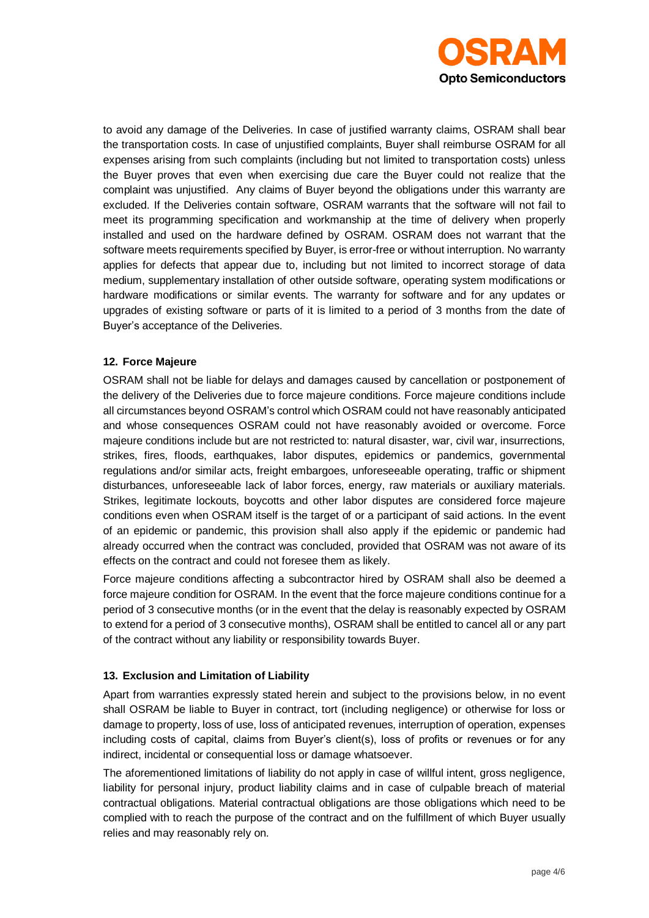

to avoid any damage of the Deliveries. In case of justified warranty claims, OSRAM shall bear the transportation costs. In case of unjustified complaints, Buyer shall reimburse OSRAM for all expenses arising from such complaints (including but not limited to transportation costs) unless the Buyer proves that even when exercising due care the Buyer could not realize that the complaint was unjustified. Any claims of Buyer beyond the obligations under this warranty are excluded. If the Deliveries contain software, OSRAM warrants that the software will not fail to meet its programming specification and workmanship at the time of delivery when properly installed and used on the hardware defined by OSRAM. OSRAM does not warrant that the software meets requirements specified by Buyer, is error-free or without interruption. No warranty applies for defects that appear due to, including but not limited to incorrect storage of data medium, supplementary installation of other outside software, operating system modifications or hardware modifications or similar events. The warranty for software and for any updates or upgrades of existing software or parts of it is limited to a period of 3 months from the date of Buyer's acceptance of the Deliveries.

## **12. Force Majeure**

OSRAM shall not be liable for delays and damages caused by cancellation or postponement of the delivery of the Deliveries due to force majeure conditions. Force majeure conditions include all circumstances beyond OSRAM's control which OSRAM could not have reasonably anticipated and whose consequences OSRAM could not have reasonably avoided or overcome. Force majeure conditions include but are not restricted to: natural disaster, war, civil war, insurrections, strikes, fires, floods, earthquakes, labor disputes, epidemics or pandemics, governmental regulations and/or similar acts, freight embargoes, unforeseeable operating, traffic or shipment disturbances, unforeseeable lack of labor forces, energy, raw materials or auxiliary materials. Strikes, legitimate lockouts, boycotts and other labor disputes are considered force majeure conditions even when OSRAM itself is the target of or a participant of said actions. In the event of an epidemic or pandemic, this provision shall also apply if the epidemic or pandemic had already occurred when the contract was concluded, provided that OSRAM was not aware of its effects on the contract and could not foresee them as likely.

Force majeure conditions affecting a subcontractor hired by OSRAM shall also be deemed a force majeure condition for OSRAM. In the event that the force majeure conditions continue for a period of 3 consecutive months (or in the event that the delay is reasonably expected by OSRAM to extend for a period of 3 consecutive months), OSRAM shall be entitled to cancel all or any part of the contract without any liability or responsibility towards Buyer.

#### **13. Exclusion and Limitation of Liability**

Apart from warranties expressly stated herein and subject to the provisions below, in no event shall OSRAM be liable to Buyer in contract, tort (including negligence) or otherwise for loss or damage to property, loss of use, loss of anticipated revenues, interruption of operation, expenses including costs of capital, claims from Buyer's client(s), loss of profits or revenues or for any indirect, incidental or consequential loss or damage whatsoever.

The aforementioned limitations of liability do not apply in case of willful intent, gross negligence, liability for personal injury, product liability claims and in case of culpable breach of material contractual obligations. Material contractual obligations are those obligations which need to be complied with to reach the purpose of the contract and on the fulfillment of which Buyer usually relies and may reasonably rely on.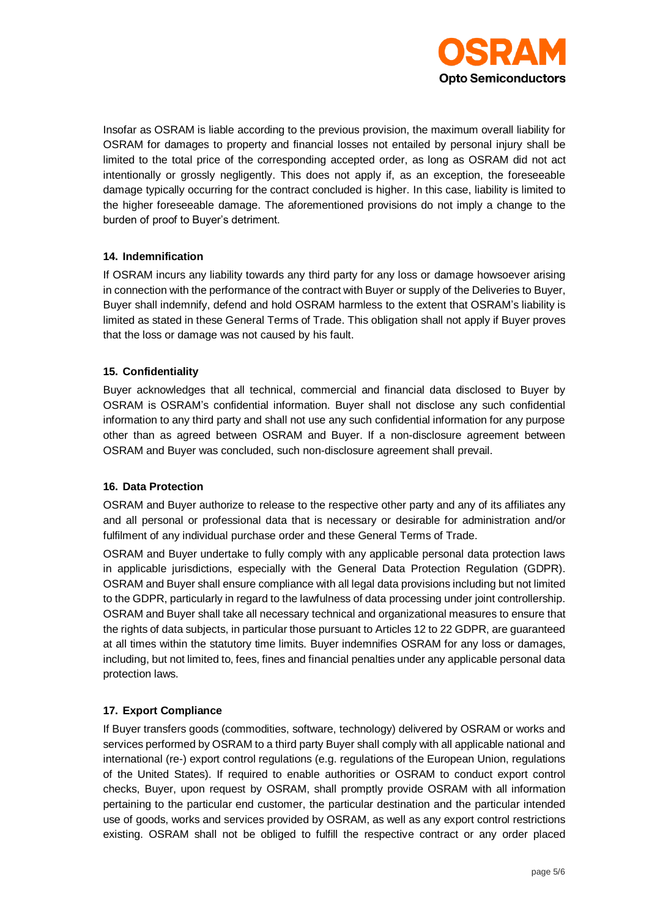

Insofar as OSRAM is liable according to the previous provision, the maximum overall liability for OSRAM for damages to property and financial losses not entailed by personal injury shall be limited to the total price of the corresponding accepted order, as long as OSRAM did not act intentionally or grossly negligently. This does not apply if, as an exception, the foreseeable damage typically occurring for the contract concluded is higher. In this case, liability is limited to the higher foreseeable damage. The aforementioned provisions do not imply a change to the burden of proof to Buyer's detriment.

## **14. Indemnification**

If OSRAM incurs any liability towards any third party for any loss or damage howsoever arising in connection with the performance of the contract with Buyer or supply of the Deliveries to Buyer, Buyer shall indemnify, defend and hold OSRAM harmless to the extent that OSRAM's liability is limited as stated in these General Terms of Trade. This obligation shall not apply if Buyer proves that the loss or damage was not caused by his fault.

## **15. Confidentiality**

Buyer acknowledges that all technical, commercial and financial data disclosed to Buyer by OSRAM is OSRAM's confidential information. Buyer shall not disclose any such confidential information to any third party and shall not use any such confidential information for any purpose other than as agreed between OSRAM and Buyer. If a non-disclosure agreement between OSRAM and Buyer was concluded, such non-disclosure agreement shall prevail.

#### **16. Data Protection**

OSRAM and Buyer authorize to release to the respective other party and any of its affiliates any and all personal or professional data that is necessary or desirable for administration and/or fulfilment of any individual purchase order and these General Terms of Trade.

OSRAM and Buyer undertake to fully comply with any applicable personal data protection laws in applicable jurisdictions, especially with the General Data Protection Regulation (GDPR). OSRAM and Buyer shall ensure compliance with all legal data provisions including but not limited to the GDPR, particularly in regard to the lawfulness of data processing under joint controllership. OSRAM and Buyer shall take all necessary technical and organizational measures to ensure that the rights of data subjects, in particular those pursuant to Articles 12 to 22 GDPR, are guaranteed at all times within the statutory time limits. Buyer indemnifies OSRAM for any loss or damages, including, but not limited to, fees, fines and financial penalties under any applicable personal data protection laws.

# **17. Export Compliance**

If Buyer transfers goods (commodities, software, technology) delivered by OSRAM or works and services performed by OSRAM to a third party Buyer shall comply with all applicable national and international (re-) export control regulations (e.g. regulations of the European Union, regulations of the United States). If required to enable authorities or OSRAM to conduct export control checks, Buyer, upon request by OSRAM, shall promptly provide OSRAM with all information pertaining to the particular end customer, the particular destination and the particular intended use of goods, works and services provided by OSRAM, as well as any export control restrictions existing. OSRAM shall not be obliged to fulfill the respective contract or any order placed